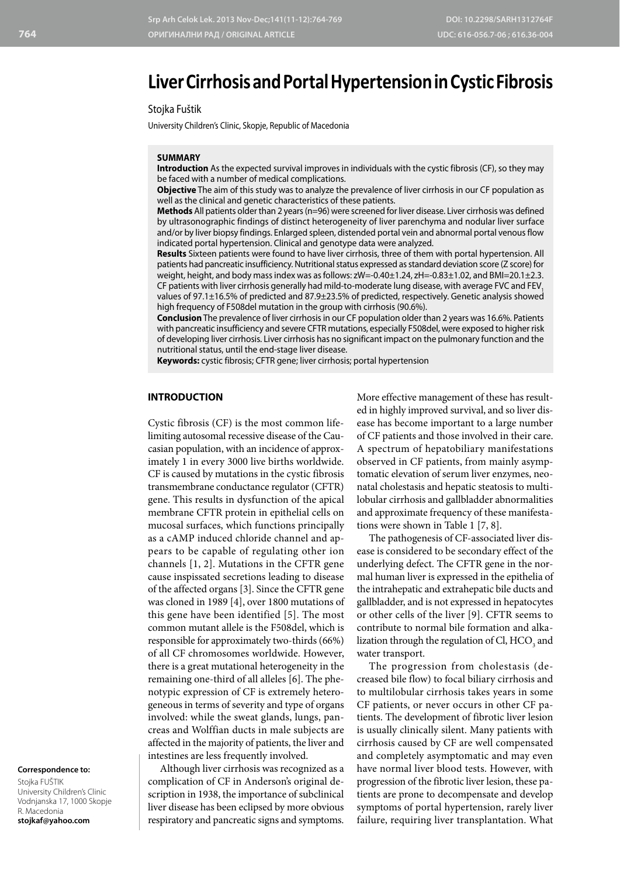# **Liver Cirrhosis and Portal Hypertension in Cystic Fibrosis**

## Stojka Fuštik

University Children's Clinic, Skopje, Republic of Macedonia

#### **SUMMARY**

**Introduction** As the expected survival improves in individuals with the cystic fibrosis (CF), so they may be faced with a number of medical complications.

**Objective** The aim of this study was to analyze the prevalence of liver cirrhosis in our CF population as well as the clinical and genetic characteristics of these patients.

**Methods** All patients older than 2 years (n=96) were screened for liver disease. Liver cirrhosis was defined by ultrasonographic findings of distinct heterogeneity of liver parenchyma and nodular liver surface and/or by liver biopsy findings. Enlarged spleen, distended portal vein and abnormal portal venous flow indicated portal hypertension. Clinical and genotype data were analyzed.

**Results** Sixteen patients were found to have liver cirrhosis, three of them with portal hypertension. All patients had pancreatic insufficiency. Nutritional status expressed as standard deviation score (Z score) for weight, height, and body mass index was as follows: zW=-0.40±1.24, zH=-0.83±1.02, and BMI=20.1±2.3. CF patients with liver cirrhosis generally had mild-to-moderate lung disease, with average FVC and FEV values of 97.1±16.5% of predicted and 87.9±23.5% of predicted, respectively. Genetic analysis showed high frequency of F508del mutation in the group with cirrhosis (90.6%).

**Conclusion** The prevalence of liver cirrhosis in our CF population older than 2 years was 16.6%. Patients with pancreatic insufficiency and severe CFTR mutations, especially F508del, were exposed to higher risk of developing liver cirrhosis. Liver cirrhosis has no significant impact on the pulmonary function and the nutritional status, until the end-stage liver disease.

**Keywords:** cystic fibrosis; CFTR gene; liver cirrhosis; portal hypertension

# **INTRODUCTION**

Cystic fibrosis (CF) is the most common lifelimiting autosomal recessive disease of the Caucasian population, with an incidence of approximately 1 in every 3000 live births worldwide. CF is caused by mutations in the cystic fibrosis transmembrane conductance regulator (CFTR) gene. This results in dysfunction of the apical membrane CFTR protein in epithelial cells on mucosal surfaces, which functions principally as a cAMP induced chloride channel and appears to be capable of regulating other ion channels [1, 2]. Mutations in the CFTR gene cause inspissated secretions leading to disease of the affected organs [3]. Since the CFTR gene was cloned in 1989 [4], over 1800 mutations of this gene have been identified [5]. The most common mutant allele is the F508del, which is responsible for approximately two-thirds (66%) of all CF chromosomes worldwide. However, there is a great mutational heterogeneity in the remaining one-third of all alleles [6]. The phenotypic expression of CF is extremely heterogeneous in terms of severity and type of organs involved: while the sweat glands, lungs, pancreas and Wolffian ducts in male subjects are affected in the majority of patients, the liver and intestines are less frequently involved.

Although liver cirrhosis was recognized as a complication of CF in Anderson's original description in 1938, the importance of subclinical liver disease has been eclipsed by more obvious respiratory and pancreatic signs and symptoms.

More effective management of these has resulted in highly improved survival, and so liver disease has become important to a large number of CF patients and those involved in their care. A spectrum of hepatobiliary manifestations observed in CF patients, from mainly asymptomatic elevation of serum liver enzymes, neonatal cholestasis and hepatic steatosis to multilobular cirrhosis and gallbladder abnormalities and approximate frequency of these manifestations were shown in Table 1 [7, 8].

The pathogenesis of CF-associated liver disease is considered to be secondary effect of the underlying defect. The CFTR gene in the normal human liver is expressed in the epithelia of the intrahepatic and extrahepatic bile ducts and gallbladder, and is not expressed in hepatocytes or other cells of the liver [9]. CFTR seems to contribute to normal bile formation and alkalization through the regulation of Cl,  $\mathrm{HCO}_3^3$  and water transport.

The progression from cholestasis (decreased bile flow) to focal biliary cirrhosis and to multilobular cirrhosis takes years in some CF patients, or never occurs in other CF patients. The development of fibrotic liver lesion is usually clinically silent. Many patients with cirrhosis caused by CF are well compensated and completely asymptomatic and may even have normal liver blood tests. However, with progression of the fibrotic liver lesion, these patients are prone to decompensate and develop symptoms of portal hypertension, rarely liver failure, requiring liver transplantation. What

#### **Correspondence to:**

Stojka FUŠTIK University Children's Clinic Vodnjanska 17, 1000 Skopje R. Macedonia **stojkaf@yahoo.com**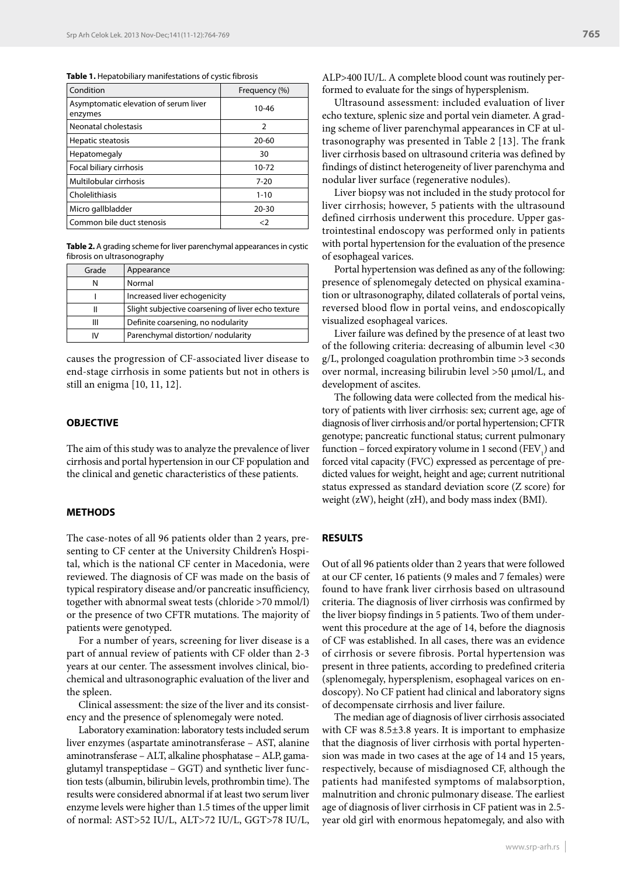**Table 1.** Hepatobiliary manifestations of cystic fibrosis

| Condition                                        | Frequency (%) |
|--------------------------------------------------|---------------|
| Asymptomatic elevation of serum liver<br>enzymes | 10-46         |
| Neonatal cholestasis                             | $\mathcal{P}$ |
| Hepatic steatosis                                | $20 - 60$     |
| Hepatomegaly                                     | 30            |
| Focal biliary cirrhosis                          | 10-72         |
| Multilobular cirrhosis                           | $7 - 20$      |
| Cholelithiasis                                   | $1 - 10$      |
| Micro gallbladder                                | $20 - 30$     |
| Common bile duct stenosis                        | <2            |

**Table 2.** A grading scheme for liver parenchymal appearances in cystic fibrosis on ultrasonography

| Grade | Appearance                                         |
|-------|----------------------------------------------------|
|       | Normal                                             |
|       | Increased liver echogenicity                       |
|       | Slight subjective coarsening of liver echo texture |
| Ш     | Definite coarsening, no nodularity                 |
| ١V    | Parenchymal distortion/nodularity                  |

causes the progression of CF-associated liver disease to end-stage cirrhosis in some patients but not in others is still an enigma [10, 11, 12].

#### **OBJECTIVE**

The aim of this study was to analyze the prevalence of liver cirrhosis and portal hypertension in our CF population and the clinical and genetic characteristics of these patients.

#### **METHODS**

The case-notes of all 96 patients older than 2 years, presenting to CF center at the University Children's Hospital, which is the national CF center in Macedonia, were reviewed. The diagnosis of CF was made on the basis of typical respiratory disease and/or pancreatic insufficiency, together with abnormal sweat tests (chloride >70 mmol/l) or the presence of two CFTR mutations. The majority of patients were genotyped.

For a number of years, screening for liver disease is a part of annual review of patients with CF older than 2-3 years at our center. The assessment involves clinical, biochemical and ultrasonographic evaluation of the liver and the spleen.

Clinical assessment: the size of the liver and its consistency and the presence of splenomegaly were noted.

Laboratory examination: laboratory tests included serum liver enzymes (aspartate aminotransferase – AST, alanine aminotransferase – ALT, alkaline phosphatase – ALP, gamaglutamyl transpeptidase – GGT) and synthetic liver function tests (albumin, bilirubin levels, prothrombin time). The results were considered abnormal if at least two serum liver enzyme levels were higher than 1.5 times of the upper limit of normal: AST>52 IU/L, ALT>72 IU/L, GGT>78 IU/L, ALP>400 IU/L. A complete blood count was routinely performed to evaluate for the sings of hypersplenism.

Ultrasound assessment: included evaluation of liver echo texture, splenic size and portal vein diameter. A grading scheme of liver parenchymal appearances in CF at ultrasonography was presented in Table 2 [13]. The frank liver cirrhosis based on ultrasound criteria was defined by findings of distinct heterogeneity of liver parenchyma and nodular liver surface (regenerative nodules).

Liver biopsy was not included in the study protocol for liver cirrhosis; however, 5 patients with the ultrasound defined cirrhosis underwent this procedure. Upper gastrointestinal endoscopy was performed only in patients with portal hypertension for the evaluation of the presence of esophageal varices.

Portal hypertension was defined as any of the following: presence of splenomegaly detected on physical examination or ultrasonography, dilated collaterals of portal veins, reversed blood flow in portal veins, and endoscopically visualized esophageal varices.

Liver failure was defined by the presence of at least two of the following criteria: decreasing of albumin level <30 g/L, prolonged coagulation prothrombin time >3 seconds over normal, increasing bilirubin level >50 µmol/L, and development of ascites.

The following data were collected from the medical history of patients with liver cirrhosis: sex; current age, age of diagnosis of liver cirrhosis and/or portal hypertension; CFTR genotype; pancreatic functional status; current pulmonary function – forced expiratory volume in 1 second  $(FEV_1)$  and forced vital capacity (FVC) expressed as percentage of predicted values for weight, height and age; current nutritional status expressed as standard deviation score (Z score) for weight (zW), height (zH), and body mass index (BMI).

#### **RESULTS**

Out of all 96 patients older than 2 years that were followed at our CF center, 16 patients (9 males and 7 females) were found to have frank liver cirrhosis based on ultrasound criteria. The diagnosis of liver cirrhosis was confirmed by the liver biopsy findings in 5 patients. Two of them underwent this procedure at the age of 14, before the diagnosis of CF was established. In all cases, there was an evidence of cirrhosis or severe fibrosis. Portal hypertension was present in three patients, according to predefined criteria (splenomegaly, hypersplenism, esophageal varices on endoscopy). No CF patient had clinical and laboratory signs of decompensate cirrhosis and liver failure.

The median age of diagnosis of liver cirrhosis associated with CF was 8.5±3.8 years. It is important to emphasize that the diagnosis of liver cirrhosis with portal hypertension was made in two cases at the age of 14 and 15 years, respectively, because of misdiagnosed CF, although the patients had manifested symptoms of malabsorption, malnutrition and chronic pulmonary disease. The earliest age of diagnosis of liver cirrhosis in CF patient was in 2.5 year old girl with enormous hepatomegaly, and also with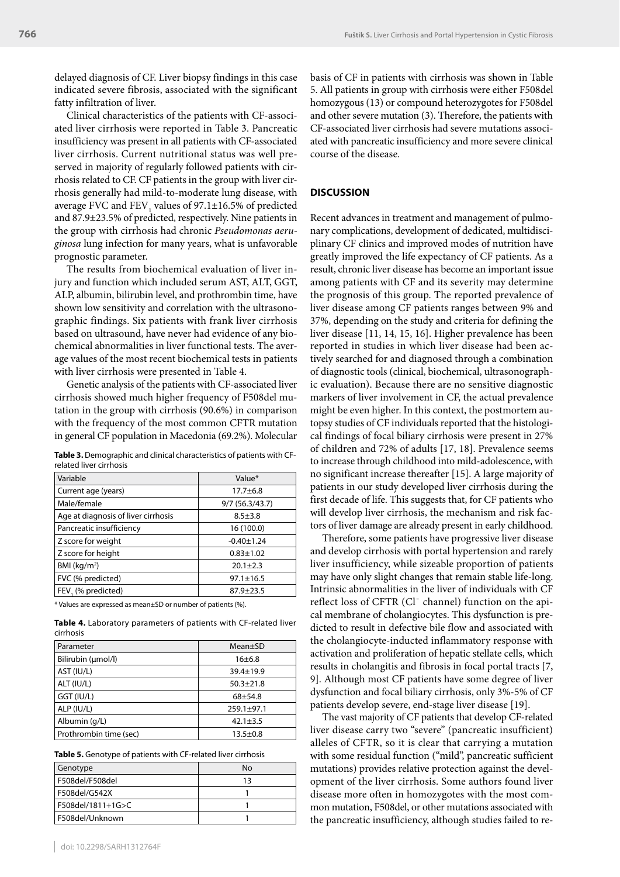delayed diagnosis of CF. Liver biopsy findings in this case indicated severe fibrosis, associated with the significant fatty infiltration of liver.

Clinical characteristics of the patients with CF-associated liver cirrhosis were reported in Table 3. Pancreatic insufficiency was present in all patients with CF-associated liver cirrhosis. Current nutritional status was well preserved in majority of regularly followed patients with cirrhosis related to CF. CF patients in the group with liver cirrhosis generally had mild-to-moderate lung disease, with average FVC and  $\text{FEV}_1$  values of 97.1 $\pm$ 16.5% of predicted and 87.9±23.5% of predicted, respectively. Nine patients in the group with cirrhosis had chronic *Pseudomonas aeruginosa* lung infection for many years, what is unfavorable prognostic parameter.

The results from biochemical evaluation of liver injury and function which included serum AST, ALT, GGT, ALP, albumin, bilirubin level, and prothrombin time, have shown low sensitivity and correlation with the ultrasonographic findings. Six patients with frank liver cirrhosis based on ultrasound, have never had evidence of any biochemical abnormalities in liver functional tests. The average values of the most recent biochemical tests in patients with liver cirrhosis were presented in Table 4.

Genetic analysis of the patients with CF-associated liver cirrhosis showed much higher frequency of F508del mutation in the group with cirrhosis (90.6%) in comparison with the frequency of the most common CFTR mutation in general CF population in Macedonia (69.2%). Molecular

| Table 3. Demographic and clinical characteristics of patients with CF- |  |
|------------------------------------------------------------------------|--|
| related liver cirrhosis                                                |  |

| Variable                            | Value*            |
|-------------------------------------|-------------------|
| Current age (years)                 | $17.7 + 6.8$      |
| Male/female                         | $9/7$ (56.3/43.7) |
| Age at diagnosis of liver cirrhosis | $8.5 + 3.8$       |
| Pancreatic insufficiency            | 16 (100.0)        |
| Z score for weight                  | $-0.40 \pm 1.24$  |
| Z score for height                  | $0.83 + 1.02$     |
| BMI ( $kg/m2$ )                     | $20.1 + 2.3$      |
| FVC (% predicted)                   | $97.1 \pm 16.5$   |
| FEV. (% predicted)                  | $87.9 + 23.5$     |
|                                     |                   |

\* Values are expressed as mean±SD or number of patients (%).

**Table 4.** Laboratory parameters of patients with CF-related liver cirrhosis

| Parameter              | Mean±SD          |
|------------------------|------------------|
| Bilirubin (umol/l)     | $16+6.8$         |
| AST (IU/L)             | $39.4 \pm 19.9$  |
| ALT (IU/L)             | $50.3 + 21.8$    |
| GGT (IU/L)             | $68 + 54.8$      |
| ALP (IU/L)             | $259.1 \pm 97.1$ |
| Albumin (g/L)          | $42.1 + 3.5$     |
| Prothrombin time (sec) | $13.5 + 0.8$     |

| Genotype          | No |
|-------------------|----|
| F508del/F508del   | 13 |
| F508del/G542X     |    |
| F508del/1811+1G>C |    |
| F508del/Unknown   |    |

### **DISCUSSION**

Recent advances in treatment and management of pulmonary complications, development of dedicated, multidisciplinary CF clinics and improved modes of nutrition have greatly improved the life expectancy of CF patients. As a result, chronic liver disease has become an important issue among patients with CF and its severity may determine the prognosis of this group. The reported prevalence of liver disease among CF patients ranges between 9% and 37%, depending on the study and criteria for defining the liver disease [11, 14, 15, 16]. Higher prevalence has been reported in studies in which liver disease had been actively searched for and diagnosed through a combination of diagnostic tools (clinical, biochemical, ultrasonographic evaluation). Because there are no sensitive diagnostic markers of liver involvement in CF, the actual prevalence might be even higher. In this context, the postmortem autopsy studies of CF individuals reported that the histological findings of focal biliary cirrhosis were present in 27% of children and 72% of adults [17, 18]. Prevalence seems to increase through childhood into mild-adolescence, with no significant increase thereafter [15]. A large majority of patients in our study developed liver cirrhosis during the first decade of life. This suggests that, for CF patients who will develop liver cirrhosis, the mechanism and risk factors of liver damage are already present in early childhood.

Therefore, some patients have progressive liver disease and develop cirrhosis with portal hypertension and rarely liver insufficiency, while sizeable proportion of patients may have only slight changes that remain stable life-long. Intrinsic abnormalities in the liver of individuals with CF reflect loss of CFTR (Clˉ channel) function on the apical membrane of cholangiocytes. This dysfunction is predicted to result in defective bile flow and associated with the cholangiocyte-inducted inflammatory response with activation and proliferation of hepatic stellate cells, which results in cholangitis and fibrosis in focal portal tracts [7, 9]. Although most CF patients have some degree of liver dysfunction and focal biliary cirrhosis, only 3%-5% of CF patients develop severe, end-stage liver disease [19].

The vast majority of CF patients that develop CF-related liver disease carry two "severe" (pancreatic insufficient) alleles of CFTR, so it is clear that carrying a mutation with some residual function ("mild", pancreatic sufficient mutations) provides relative protection against the development of the liver cirrhosis. Some authors found liver disease more often in homozygotes with the most common mutation, F508del, or other mutations associated with the pancreatic insufficiency, although studies failed to re-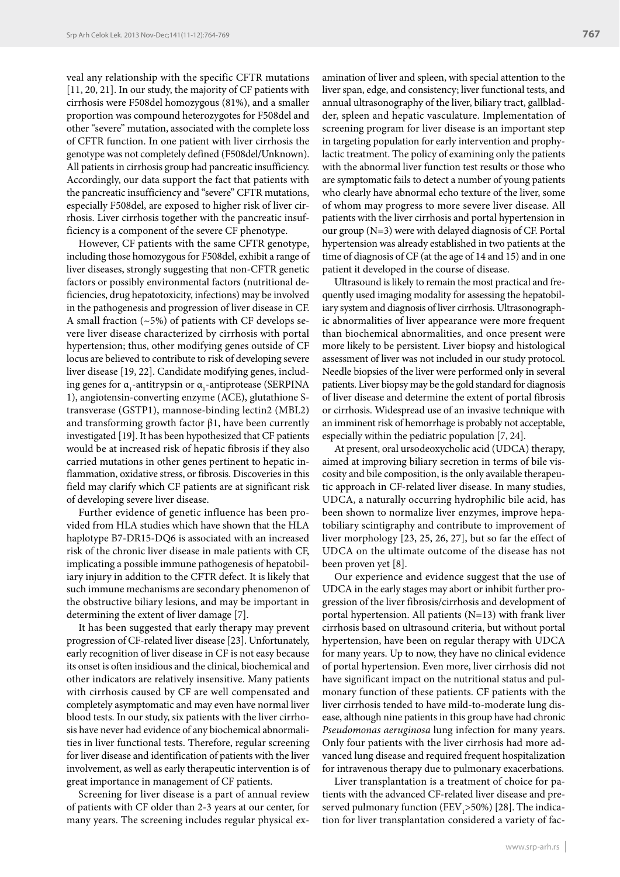veal any relationship with the specific CFTR mutations [11, 20, 21]. In our study, the majority of CF patients with cirrhosis were F508del homozygous (81%), and a smaller proportion was compound heterozygotes for F508del and other "severe" mutation, associated with the complete loss of CFTR function. In one patient with liver cirrhosis the genotype was not completely defined (F508del/Unknown). All patients in cirrhosis group had pancreatic insufficiency. Accordingly, our data support the fact that patients with the pancreatic insufficiency and "severe" CFTR mutations, especially F508del, are exposed to higher risk of liver cirrhosis. Liver cirrhosis together with the pancreatic insufficiency is a component of the severe CF phenotype.

However, CF patients with the same CFTR genotype, including those homozygous for F508del, exhibit a range of liver diseases, strongly suggesting that non-CFTR genetic factors or possibly environmental factors (nutritional deficiencies, drug hepatotoxicity, infections) may be involved in the pathogenesis and progression of liver disease in CF. A small fraction  $(-5%)$  of patients with CF develops severe liver disease characterized by cirrhosis with portal hypertension; thus, other modifying genes outside of CF locus are believed to contribute to risk of developing severe liver disease [19, 22]. Candidate modifying genes, including genes for  $\alpha_{1}$ -antitrypsin or  $\alpha_{1}$ -antiprotease (SERPINA 1), angiotensin-converting enzyme (ACE), glutathione Stransverase (GSTP1), mannose-binding lectin2 (MBL2) and transforming growth factor  $\beta$ 1, have been currently investigated [19]. It has been hypothesized that CF patients would be at increased risk of hepatic fibrosis if they also carried mutations in other genes pertinent to hepatic inflammation, oxidative stress, or fibrosis. Discoveries in this field may clarify which CF patients are at significant risk of developing severe liver disease.

Further evidence of genetic influence has been provided from HLA studies which have shown that the HLA haplotype B7-DR15-DQ6 is associated with an increased risk of the chronic liver disease in male patients with CF, implicating a possible immune pathogenesis of hepatobiliary injury in addition to the CFTR defect. It is likely that such immune mechanisms are secondary phenomenon of the obstructive biliary lesions, and may be important in determining the extent of liver damage [7].

It has been suggested that early therapy may prevent progression of CF-related liver disease [23]. Unfortunately, early recognition of liver disease in CF is not easy because its onset is often insidious and the clinical, biochemical and other indicators are relatively insensitive. Many patients with cirrhosis caused by CF are well compensated and completely asymptomatic and may even have normal liver blood tests. In our study, six patients with the liver cirrhosis have never had evidence of any biochemical abnormalities in liver functional tests. Therefore, regular screening for liver disease and identification of patients with the liver involvement, as well as early therapeutic intervention is of great importance in management of CF patients.

Screening for liver disease is a part of annual review of patients with CF older than 2-3 years at our center, for many years. The screening includes regular physical examination of liver and spleen, with special attention to the liver span, edge, and consistency; liver functional tests, and annual ultrasonography of the liver, biliary tract, gallbladder, spleen and hepatic vasculature. Implementation of screening program for liver disease is an important step in targeting population for early intervention and prophylactic treatment. The policy of examining only the patients with the abnormal liver function test results or those who are symptomatic fails to detect a number of young patients who clearly have abnormal echo texture of the liver, some of whom may progress to more severe liver disease. All patients with the liver cirrhosis and portal hypertension in our group (N=3) were with delayed diagnosis of CF. Portal hypertension was already established in two patients at the time of diagnosis of CF (at the age of 14 and 15) and in one patient it developed in the course of disease.

Ultrasound is likely to remain the most practical and frequently used imaging modality for assessing the hepatobiliary system and diagnosis of liver cirrhosis. Ultrasonographic abnormalities of liver appearance were more frequent than biochemical abnormalities, and once present were more likely to be persistent. Liver biopsy and histological assessment of liver was not included in our study protocol. Needle biopsies of the liver were performed only in several patients. Liver biopsy may be the gold standard for diagnosis of liver disease and determine the extent of portal fibrosis or cirrhosis. Widespread use of an invasive technique with an imminent risk of hemorrhage is probably not acceptable, especially within the pediatric population [7, 24].

At present, oral ursodeoxycholic acid (UDCA) therapy, aimed at improving biliary secretion in terms of bile viscosity and bile composition, is the only available therapeutic approach in CF-related liver disease. In many studies, UDCA, a naturally occurring hydrophilic bile acid, has been shown to normalize liver enzymes, improve hepatobiliary scintigraphy and contribute to improvement of liver morphology [23, 25, 26, 27], but so far the effect of UDCA on the ultimate outcome of the disease has not been proven yet [8].

Our experience and evidence suggest that the use of UDCA in the early stages may abort or inhibit further progression of the liver fibrosis/cirrhosis and development of portal hypertension. All patients (N=13) with frank liver cirrhosis based on ultrasound criteria, but without portal hypertension, have been on regular therapy with UDCA for many years. Up to now, they have no clinical evidence of portal hypertension. Even more, liver cirrhosis did not have significant impact on the nutritional status and pulmonary function of these patients. CF patients with the liver cirrhosis tended to have mild-to-moderate lung disease, although nine patients in this group have had chronic *Pseudomonas aeruginosa* lung infection for many years. Only four patients with the liver cirrhosis had more advanced lung disease and required frequent hospitalization for intravenous therapy due to pulmonary exacerbations.

Liver transplantation is a treatment of choice for patients with the advanced CF-related liver disease and preserved pulmonary function ( $\rm FEV_{_1}$ >50%) [28]. The indication for liver transplantation considered a variety of fac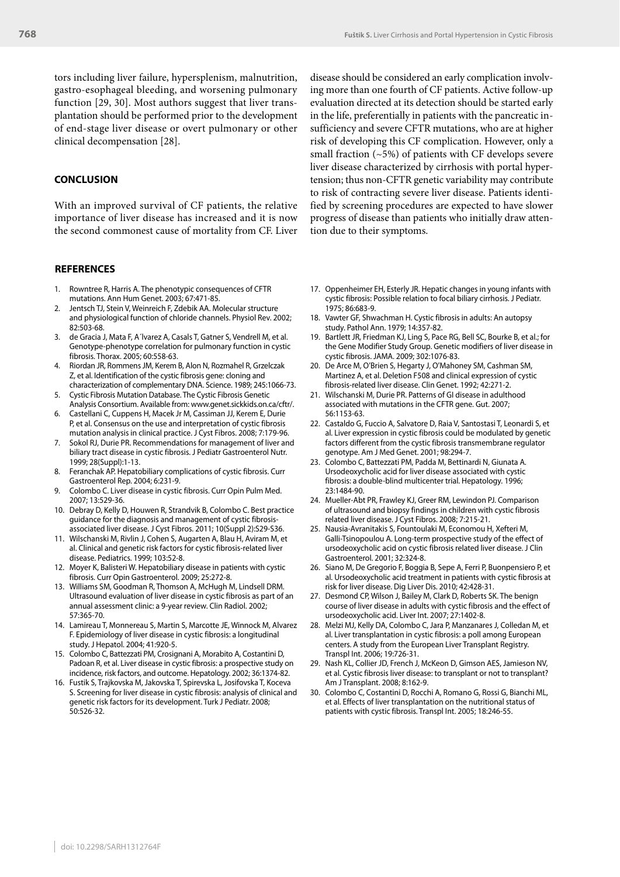tors including liver failure, hypersplenism, malnutrition, gastro-esophageal bleeding, and worsening pulmonary function [29, 30]. Most authors suggest that liver transplantation should be performed prior to the development of end-stage liver disease or overt pulmonary or other clinical decompensation [28].

#### **CONCLUSION**

With an improved survival of CF patients, the relative importance of liver disease has increased and it is now the second commonest cause of mortality from CF. Liver

#### **REFERENCES**

- Rowntree R, Harris A. The phenotypic consequences of CFTR mutations. Ann Hum Genet. 2003; 67:471-85.
- 2. Jentsch TJ, Stein V, Weinreich F, Zdebik AA. Molecular structure and physiological function of chloride channels. Physiol Rev. 2002; 82:503-68.
- 3. de Gracia J, Mata F, A´lvarez A, Casals T, Gatner S, Vendrell M, et al. Genotype-phenotype correlation for pulmonary function in cystic fibrosis. Thorax. 2005; 60:558-63.
- 4. Riordan JR, Rommens JM, Kerem B, Alon N, Rozmahel R, Grzelczak Z, et al. Identification of the cystic fibrosis gene: cloning and characterization of complementary DNA. Science. 1989; 245:1066-73.
- 5. Cystic Fibrosis Mutation Database. The Cystic Fibrosis Genetic Analysis Consortium. Available from: www.genet.sickkids.on.ca/cftr/.
- 6. Castellani C, Cuppens H, Macek Jr M, Cassiman JJ, Kerem E, Durie P, et al. Consensus on the use and interpretation of cystic fibrosis mutation analysis in clinical practice. J Cyst Fibros. 2008; 7:179-96.
- 7. Sokol RJ, Durie PR. Recommendations for management of liver and biliary tract disease in cystic fibrosis. J Pediatr Gastroenterol Nutr. 1999; 28(Suppl):1-13.
- 8. Feranchak AP. Hepatobiliary complications of cystic fibrosis. Curr Gastroenterol Rep. 2004; 6:231-9.
- Colombo C. Liver disease in cystic fibrosis. Curr Opin Pulm Med. 2007; 13:529-36.
- 10. Debray D, Kelly D, Houwen R, Strandvik B, Colombo C. Best practice guidance for the diagnosis and management of cystic fibrosisassociated liver disease. J Cyst Fibros. 2011; 10(Suppl 2):S29-S36.
- 11. Wilschanski M, Rivlin J, Cohen S, Augarten A, Blau H, Aviram M, et al. Clinical and genetic risk factors for cystic fibrosis-related liver disease. Pediatrics. 1999; 103:52-8.
- 12. Moyer K, Balisteri W. Hepatobiliary disease in patients with cystic fibrosis. Curr Opin Gastroenterol. 2009; 25:272-8.
- 13. Williams SM, Goodman R, Thomson A, McHugh M, Lindsell DRM. Ultrasound evaluation of liver disease in cystic fibrosis as part of an annual assessment clinic: a 9-year review. Clin Radiol. 2002; 57:365-70.
- 14. Lamireau T, Monnereau S, Martin S, Marcotte JE, Winnock M, Alvarez F. Epidemiology of liver disease in cystic fibrosis: a longitudinal study. J Hepatol. 2004; 41:920-5.
- 15. Colombo C, Battezzati PM, Crosignani A, Morabito A, Costantini D, Padoan R, et al. Liver disease in cystic fibrosis: a prospective study on incidence, risk factors, and outcome. Hepatology. 2002; 36:1374-82.
- 16. Fustik S, Trajkovska M, Jakovska T, Spirevska L, Josifovska T, Koceva S. Screening for liver disease in cystic fibrosis: analysis of clinical and genetic risk factors for its development. Turk J Pediatr. 2008; 50:526-32.

disease should be considered an early complication involving more than one fourth of CF patients. Active follow-up evaluation directed at its detection should be started early in the life, preferentially in patients with the pancreatic insufficiency and severe CFTR mutations, who are at higher risk of developing this CF complication. However, only a small fraction  $(-5%)$  of patients with CF develops severe liver disease characterized by cirrhosis with portal hypertension; thus non-CFTR genetic variability may contribute to risk of contracting severe liver disease. Patients identified by screening procedures are expected to have slower progress of disease than patients who initially draw attention due to their symptoms.

- 17. Oppenheimer EH, Esterly JR. Hepatic changes in young infants with cystic fibrosis: Possible relation to focal biliary cirrhosis. J Pediatr. 1975; 86:683-9.
- 18. Vawter GF, Shwachman H. Cystic fibrosis in adults: An autopsy study. Pathol Ann. 1979; 14:357-82.
- 19. Bartlett JR, Friedman KJ, Ling S, Pace RG, Bell SC, Bourke B, et al.; for the Gene Modifier Study Group. Genetic modifiers of liver disease in cystic fibrosis. JAMA. 2009; 302:1076-83.
- 20. De Arce M, O'Brien S, Hegarty J, O'Mahoney SM, Cashman SM, Martinez A, et al. Deletion F508 and clinical expression of cystic fibrosis-related liver disease. Clin Genet. 1992; 42:271-2.
- 21. Wilschanski M, Durie PR. Patterns of GI disease in adulthood associated with mutations in the CFTR gene. Gut. 2007; 56:1153-63.
- 22. Castaldo G, Fuccio A, Salvatore D, Raia V, Santostasi T, Leonardi S, et al. Liver expression in cystic fibrosis could be modulated by genetic factors different from the cystic fibrosis transmembrane regulator genotype. Am J Med Genet. 2001; 98:294-7.
- 23. Colombo C, Battezzati PM, Padda M, Bettinardi N, Giunata A. Ursodeoxycholic acid for liver disease associated with cystic fibrosis: a double-blind multicenter trial. Hepatology. 1996; 23:1484-90.
- 24. Mueller-Abt PR, Frawley KJ, Greer RM, Lewindon PJ. Comparison of ultrasound and biopsy findings in children with cystic fibrosis related liver disease. J Cyst Fibros. 2008; 7:215-21.
- 25. Nausia-Avranitakis S, Fountoulaki M, Economou H, Xefteri M, Galli-Tsinopoulou A. Long-term prospective study of the effect of ursodeoxycholic acid on cystic fibrosis related liver disease. J Clin Gastroenterol. 2001; 32:324-8.
- 26. Siano M, De Gregorio F, Boggia B, Sepe A, Ferri P, Buonpensiero P, et al. Ursodeoxycholic acid treatment in patients with cystic fibrosis at risk for liver disease. Dig Liver Dis. 2010; 42:428-31.
- 27. Desmond CP, Wilson J, Bailey M, Clark D, Roberts SK. The benign course of liver disease in adults with cystic fibrosis and the effect of ursodeoxycholic acid. Liver Int. 2007; 27:1402-8.
- 28. Melzi MJ, Kelly DA, Colombo C, Jara P, Manzanares J, Colledan M, et al. Liver transplantation in cystic fibrosis: a poll among European centers. A study from the European Liver Transplant Registry. Transpl Int. 2006; 19:726-31.
- 29. Nash KL, Collier JD, French J, McKeon D, Gimson AES, Jamieson NV, et al. Cystic fibrosis liver disease: to transplant or not to transplant? Am J Transplant. 2008; 8:162-9.
- 30. Colombo C, Costantini D, Rocchi A, Romano G, Rossi G, Bianchi ML, et al. Effects of liver transplantation on the nutritional status of patients with cystic fibrosis. Transpl Int. 2005; 18:246-55.